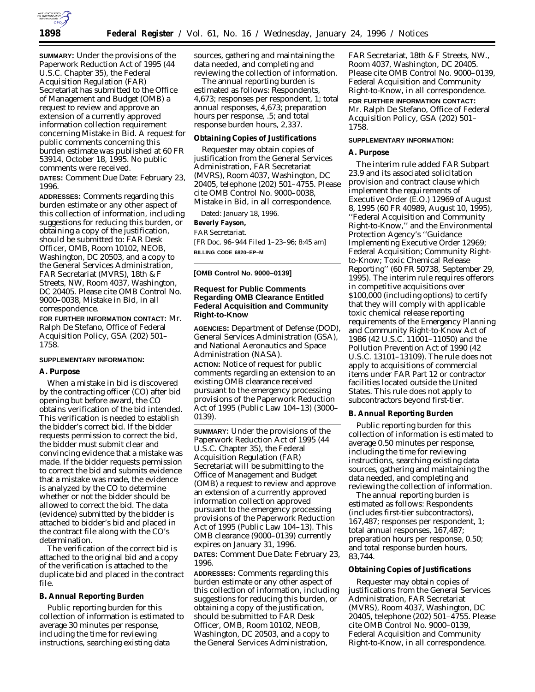

**SUMMARY:** Under the provisions of the Paperwork Reduction Act of 1995 (44 U.S.C. Chapter 35), the Federal Acquisition Regulation (FAR) Secretariat has submitted to the Office of Management and Budget (OMB) a request to review and approve an extension of a currently approved information collection requirement concerning Mistake in Bid. A request for public comments concerning this burden estimate was published at 60 FR 53914, October 18, 1995. No public comments were received.

**DATES:** *Comment Due Date:* February 23, 1996.

**ADDRESSES:** Comments regarding this burden estimate or any other aspect of this collection of information, including suggestions for reducing this burden, or obtaining a copy of the justification, should be submitted to: FAR Desk Officer, OMB, Room 10102, NEOB, Washington, DC 20503, and a copy to the General Services Administration, FAR Secretariat (MVRS), 18th & F Streets, NW, Room 4037, Washington, DC 20405. Please cite OMB Control No. 9000–0038, Mistake in Bid, in all correspondence.

**FOR FURTHER INFORMATION CONTACT:** Mr. Ralph De Stefano, Office of Federal Acquisition Policy, GSA (202) 501– 1758.

#### **SUPPLEMENTARY INFORMATION:**

#### **A. Purpose**

When a mistake in bid is discovered by the contracting officer (CO) after bid opening but before award, the CO obtains verification of the bid intended. This verification is needed to establish the bidder's correct bid. If the bidder requests permission to correct the bid, the bidder must submit clear and convincing evidence that a mistake was made. If the bidder requests permission to correct the bid and submits evidence that a mistake was made, the evidence is analyzed by the CO to determine whether or not the bidder should be allowed to correct the bid. The data (evidence) submitted by the bidder is attached to bidder's bid and placed in the contract file along with the CO's determination.

The verification of the correct bid is attached to the original bid and a copy of the verification is attached to the duplicate bid and placed in the contract file.

### **B. Annual Reporting Burden**

Public reporting burden for this collection of information is estimated to average *30* minutes per response, including the time for reviewing instructions, searching existing data

sources, gathering and maintaining the data needed, and completing and reviewing the collection of information.

The annual reporting burden is estimated as follows: Respondents, *4,673;* responses per respondent, *1*; total annual responses, *4,673;* preparation hours per response, *.5;* and total response burden hours, *2,337.*

## **Obtaining Copies of Justifications**

Requester may obtain copies of justification from the General Services Administration, FAR Secretariat (MVRS), Room 4037, Washington, DC 20405, telephone (202) 501–4755. Please cite OMB Control No. 9000–0038, Mistake in Bid, in all correspondence.

Dated: January 18, 1996. **Beverly Fayson,** *FAR Secretariat.* [FR Doc. 96–944 Filed 1–23–96; 8:45 am] **BILLING CODE 6820–EP–M**

### **[OMB Control No. 9000–0139]**

## **Request for Public Comments Regarding OMB Clearance Entitled Federal Acquisition and Community Right-to-Know**

**AGENCIES:** Department of Defense (DOD), General Services Administration (GSA), and National Aeronautics and Space Administration (NASA). **ACTION:** Notice of request for public

comments regarding an extension to an existing OMB clearance received pursuant to the emergency processing provisions of the Paperwork Reduction Act of 1995 (Public Law 104–13) (3000– 0139).

**SUMMARY:** Under the provisions of the Paperwork Reduction Act of 1995 (44 U.S.C. Chapter 35), the Federal Acquisition Regulation (FAR) Secretariat will be submitting to the Office of Management and Budget (OMB) a request to review and approve an extension of a currently approved information collection approved pursuant to the emergency processing provisions of the Paperwork Reduction Act of 1995 (Public Law 104–13). This OMB clearance (9000–0139) currently expires on January 31, 1996. **DATES:** *Comment Due Date:* February 23, 1996.

**ADDRESSES:** Comments regarding this burden estimate or any other aspect of this collection of information, including suggestions for reducing this burden, or obtaining a copy of the justification, should be submitted to FAR Desk Officer, OMB, Room 10102, NEOB, Washington, DC 20503, and a copy to the General Services Administration,

FAR Secretariat, 18th & F Streets, NW., Room 4037, Washington, DC 20405. Please cite OMB Control No. 9000–0139, Federal Acquisition and Community Right-to-Know, in all correspondence. **FOR FURTHER INFORMATION CONTACT:** Mr. Ralph De Stefano, Office of Federal Acquisition Policy, GSA (202) 501– 1758.

## **SUPPLEMENTARY INFORMATION:**

## **A. Purpose**

The interim rule added FAR Subpart 23.9 and its associated solicitation provision and contract clause which implement the requirements of Executive Order (E.O.) 12969 of August 8, 1995 (60 FR 40989, August 10, 1995), ''Federal Acquisition and Community Right-to-Know,'' and the Environmental Protection Agency's ''Guidance Implementing Executive Order 12969; Federal Acquisition; Community Rightto-Know; Toxic Chemical Release Reporting'' (60 FR 50738, September 29, 1995). The interim rule requires offerors in competitive acquisitions over \$100,000 (including options) to certify that they will comply with applicable toxic chemical release reporting requirements of the Emergency Planning and Community Right-to-Know Act of 1986 (42 U.S.C. 11001–11050) and the Pollution Prevention Act of 1990 (42 U.S.C. 13101–13109). The rule does not apply to acquisitions of commercial items under FAR Part 12 or contractor facilities located outside the United States. This rule does not apply to subcontractors beyond first-tier.

# **B. Annual Reporting Burden**

Public reporting burden for this collection of information is estimated to average *0.50* minutes per response, including the time for reviewing instructions, searching existing data sources, gathering and maintaining the data needed, and completing and reviewing the collection of information.

The annual reporting burden is estimated as follows: Respondents (includes first-tier subcontractors), *167,487*; responses per respondent, *1*; total annual responses, *167,487*; preparation hours per response, *0.50*; and total response burden hours, *83,744.*

### **Obtaining Copies of Justifications**

Requester may obtain copies of justifications from the General Services Administration, FAR Secretariat (MVRS), Room 4037, Washington, DC 20405, telephone (202) 501–4755. Please cite OMB Control No. 9000–0139, Federal Acquisition and Community Right-to-Know, in all correspondence.